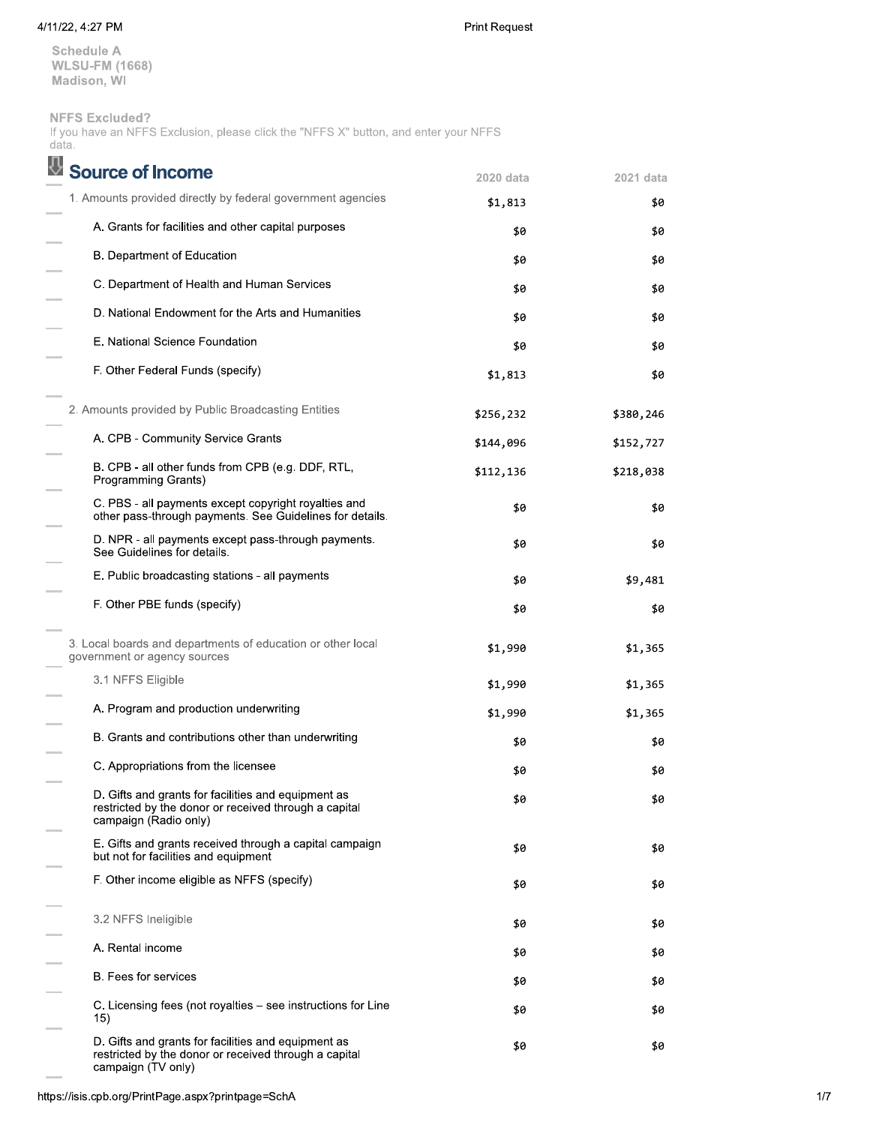## 4/11/22, 4:27 PM

Print Request

**Schedule A WLSU-FM (1668)** Madison, WI

## **NFFS Excluded?**

If you have an NFFS Exclusion, please click the "NFFS X" button, and enter your NFFS data.

| Source of Income                                                                                                                      | 2020 data | 2021 data |
|---------------------------------------------------------------------------------------------------------------------------------------|-----------|-----------|
| 1. Amounts provided directly by federal government agencies                                                                           | \$1,813   | \$0       |
| A. Grants for facilities and other capital purposes                                                                                   | \$0       | \$0       |
| B. Department of Education                                                                                                            | \$0       | \$0       |
| C. Department of Health and Human Services                                                                                            | \$0       | \$0       |
| D. National Endowment for the Arts and Humanities                                                                                     | \$0       | \$0       |
| E. National Science Foundation                                                                                                        | \$0       | \$0       |
| F. Other Federal Funds (specify)                                                                                                      | \$1,813   | \$0       |
| 2. Amounts provided by Public Broadcasting Entities                                                                                   | \$256,232 | \$380,246 |
| A. CPB - Community Service Grants                                                                                                     | \$144,096 | \$152,727 |
| B. CPB - all other funds from CPB (e.g. DDF, RTL,<br>Programming Grants)                                                              | \$112,136 | \$218,038 |
| C. PBS - all payments except copyright royalties and<br>other pass-through payments. See Guidelines for details.                      | \$0       | \$0       |
| D. NPR - all payments except pass-through payments.<br>See Guidelines for details.                                                    | \$0       | \$0       |
| E. Public broadcasting stations - all payments                                                                                        | \$0       | \$9,481   |
| F. Other PBE funds (specify)                                                                                                          | \$0       | \$0       |
| 3. Local boards and departments of education or other local<br>government or agency sources                                           | \$1,990   | \$1,365   |
| 3.1 NFFS Eligible                                                                                                                     | \$1,990   | \$1,365   |
| A. Program and production underwriting                                                                                                | \$1,990   | \$1,365   |
| B. Grants and contributions other than underwriting                                                                                   | \$0       | \$0       |
| C. Appropriations from the licensee                                                                                                   | \$0       | \$0       |
| D. Gifts and grants for facilities and equipment as<br>restricted by the donor or received through a capital<br>campaign (Radio only) | \$0       | \$0       |
| E. Gifts and grants received through a capital campaign<br>but not for facilities and equipment                                       | \$0       | \$0       |
| F. Other income eligible as NFFS (specify)                                                                                            | \$0       | \$0       |
| 3.2 NFFS Ineligible                                                                                                                   | \$0       | \$0       |
| A. Rental income                                                                                                                      | \$0       | \$0       |
| <b>B.</b> Fees for services                                                                                                           | \$0       | \$0       |
| C. Licensing fees (not royalties - see instructions for Line<br>15)                                                                   | \$0       | \$0       |
| D. Gifts and grants for facilities and equipment as<br>restricted by the donor or received through a capital<br>campaign (TV only)    | \$0       | \$0       |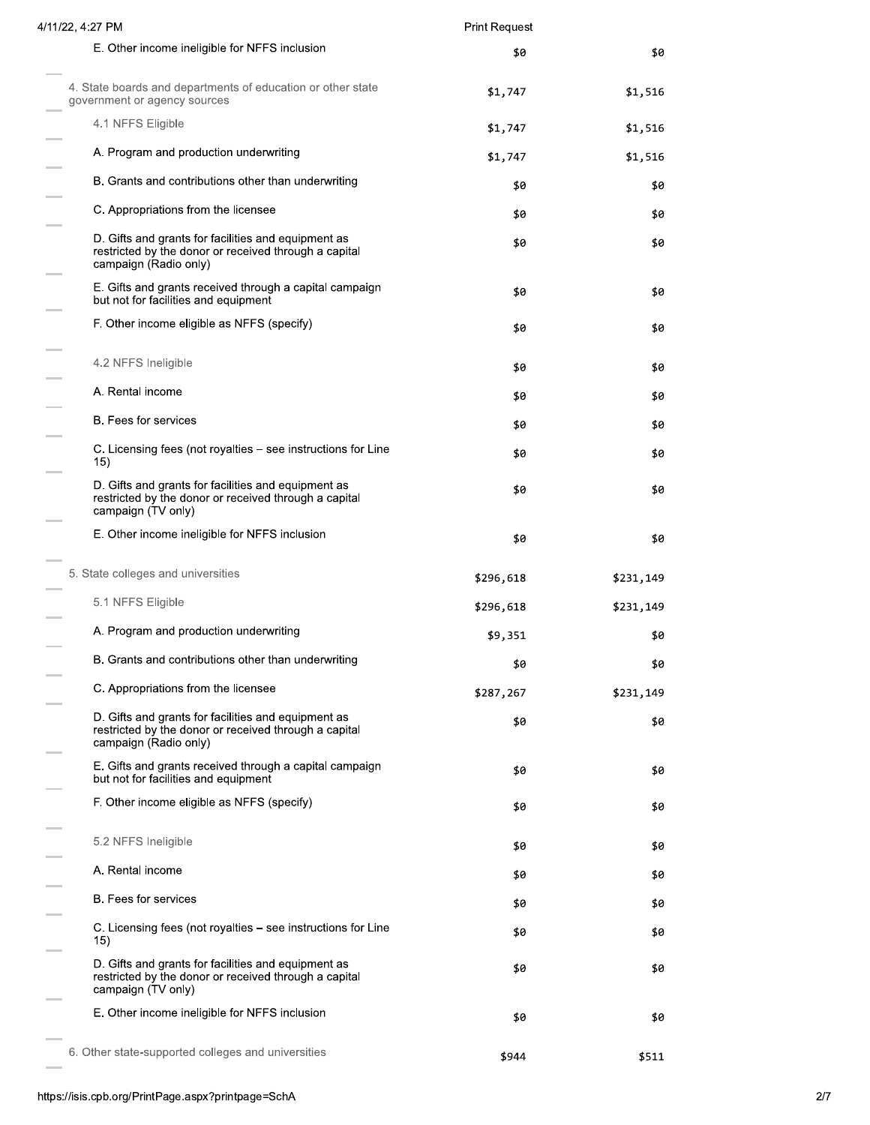| 4/11/22, 4:27 PM                                                                                                                      | <b>Print Request</b> |           |
|---------------------------------------------------------------------------------------------------------------------------------------|----------------------|-----------|
| E. Other income ineligible for NFFS inclusion                                                                                         | \$0                  | \$0       |
| 4. State boards and departments of education or other state<br>government or agency sources                                           | \$1,747              | \$1,516   |
| 4.1 NFFS Eligible                                                                                                                     | \$1,747              | \$1,516   |
| A. Program and production underwriting                                                                                                | \$1,747              | \$1,516   |
| B. Grants and contributions other than underwriting                                                                                   | \$0                  | \$0       |
| C. Appropriations from the licensee                                                                                                   | \$0                  | \$0       |
| D. Gifts and grants for facilities and equipment as<br>restricted by the donor or received through a capital<br>campaign (Radio only) | \$0                  | \$0       |
| E. Gifts and grants received through a capital campaign<br>but not for facilities and equipment                                       | \$0                  | \$0       |
| F. Other income eligible as NFFS (specify)                                                                                            | \$0                  | \$0       |
| 4.2 NFFS Ineligible                                                                                                                   | \$0                  | \$0       |
| A. Rental income                                                                                                                      | \$0                  | \$0       |
| B. Fees for services                                                                                                                  | \$0                  | \$0       |
| C. Licensing fees (not royalties – see instructions for Line<br>15)                                                                   | \$0                  | \$0       |
| D. Gifts and grants for facilities and equipment as<br>restricted by the donor or received through a capital<br>campaign (TV only)    | \$0                  | \$0       |
| E. Other income ineligible for NFFS inclusion                                                                                         | \$0                  | \$0       |
| 5. State colleges and universities                                                                                                    | \$296,618            | \$231,149 |
| 5.1 NFFS Eligible                                                                                                                     | \$296,618            | \$231,149 |
| A. Program and production underwriting                                                                                                | \$9,351              | \$0       |
| B. Grants and contributions other than underwriting                                                                                   | \$0                  | \$0       |
| C. Appropriations from the licensee                                                                                                   | \$287,267            | \$231,149 |
| D. Gifts and grants for facilities and equipment as<br>restricted by the donor or received through a capital<br>campaign (Radio only) | \$0                  | \$0       |
| E. Gifts and grants received through a capital campaign<br>but not for facilities and equipment                                       | \$0                  | \$0       |
| F. Other income eligible as NFFS (specify)                                                                                            | \$0                  | \$0       |
| 5.2 NFFS Ineligible                                                                                                                   | \$0                  | \$0       |
| A. Rental income                                                                                                                      | \$0                  | \$0       |
| <b>B.</b> Fees for services                                                                                                           | \$0                  | \$0       |
| C. Licensing fees (not royalties – see instructions for Line<br>15)                                                                   | \$0                  | \$0       |
| D. Gifts and grants for facilities and equipment as<br>restricted by the donor or received through a capital<br>campaign (TV only)    | \$0                  | \$0       |
| E. Other income ineligible for NFFS inclusion                                                                                         | \$0                  | \$0       |
| 6. Other state-supported colleges and universities                                                                                    | \$944                | \$511     |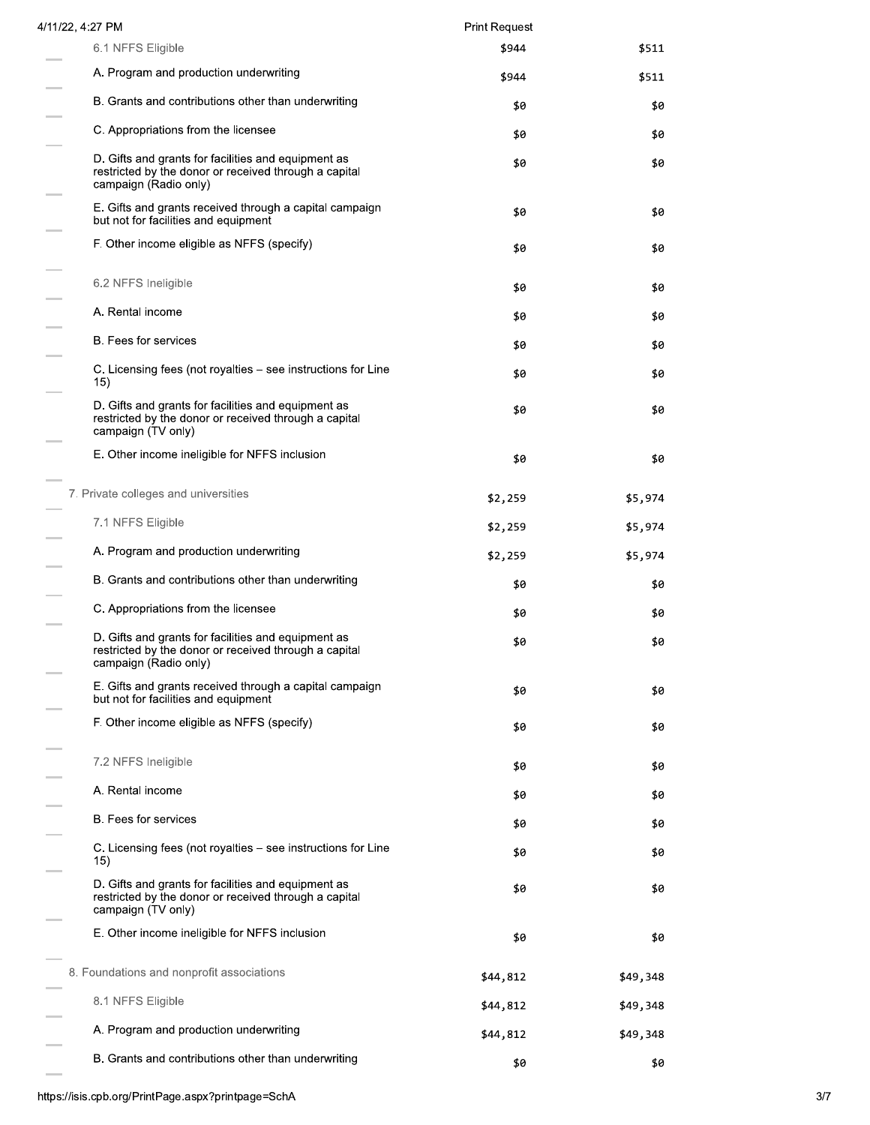| 4/11/22, 4:27 PM                                                                                                                      | <b>Print Request</b> |          |
|---------------------------------------------------------------------------------------------------------------------------------------|----------------------|----------|
| 6.1 NFFS Eligible                                                                                                                     | \$944                | \$511    |
| A. Program and production underwriting                                                                                                | \$944                | \$511    |
| B. Grants and contributions other than underwriting                                                                                   | \$0                  | \$0      |
| C. Appropriations from the licensee                                                                                                   | \$0                  | \$0      |
| D. Gifts and grants for facilities and equipment as<br>restricted by the donor or received through a capital<br>campaign (Radio only) | \$0                  | \$0      |
| E. Gifts and grants received through a capital campaign<br>but not for facilities and equipment                                       | \$0                  | \$0      |
| F. Other income eligible as NFFS (specify)                                                                                            | \$0                  | \$0      |
| 6.2 NFFS Ineligible                                                                                                                   | \$0                  | \$0      |
| A. Rental income                                                                                                                      | \$0                  | \$0      |
| B. Fees for services                                                                                                                  | \$0                  | \$0      |
| C. Licensing fees (not royalties – see instructions for Line<br>15)                                                                   | \$0                  | \$0      |
| D. Gifts and grants for facilities and equipment as<br>restricted by the donor or received through a capital<br>campaign (TV only)    | \$0                  | \$0      |
| E. Other income ineligible for NFFS inclusion                                                                                         | \$0                  | \$0      |
| 7. Private colleges and universities                                                                                                  | \$2,259              | \$5,974  |
| 7.1 NFFS Eligible                                                                                                                     | \$2,259              | \$5,974  |
| A. Program and production underwriting                                                                                                | \$2,259              | \$5,974  |
| B. Grants and contributions other than underwriting                                                                                   | \$0                  | \$0      |
| C. Appropriations from the licensee                                                                                                   | \$0                  | \$0      |
| D. Gifts and grants for facilities and equipment as<br>restricted by the donor or received through a capital<br>campaign (Radio only) | \$0                  | \$0      |
| E. Gifts and grants received through a capital campaign<br>but not for facilities and equipment                                       | \$0                  | \$0      |
| F. Other income eligible as NFFS (specify)                                                                                            | \$0                  | \$0      |
| 7.2 NFFS Ineligible                                                                                                                   | \$0                  | \$0      |
| A. Rental income                                                                                                                      | \$0                  | \$0      |
| <b>B.</b> Fees for services                                                                                                           | \$0                  | \$0      |
| C. Licensing fees (not royalties – see instructions for Line<br>15)                                                                   | \$0                  | \$0      |
| D. Gifts and grants for facilities and equipment as<br>restricted by the donor or received through a capital<br>campaign (TV only)    | \$0                  | \$0      |
| E. Other income ineligible for NFFS inclusion                                                                                         | \$0                  | \$0      |
| 8. Foundations and nonprofit associations                                                                                             | \$44,812             | \$49,348 |
| 8.1 NFFS Eligible                                                                                                                     | \$44,812             | \$49,348 |
| A. Program and production underwriting                                                                                                | \$44,812             | \$49,348 |
| B. Grants and contributions other than underwriting                                                                                   | \$0                  | \$0      |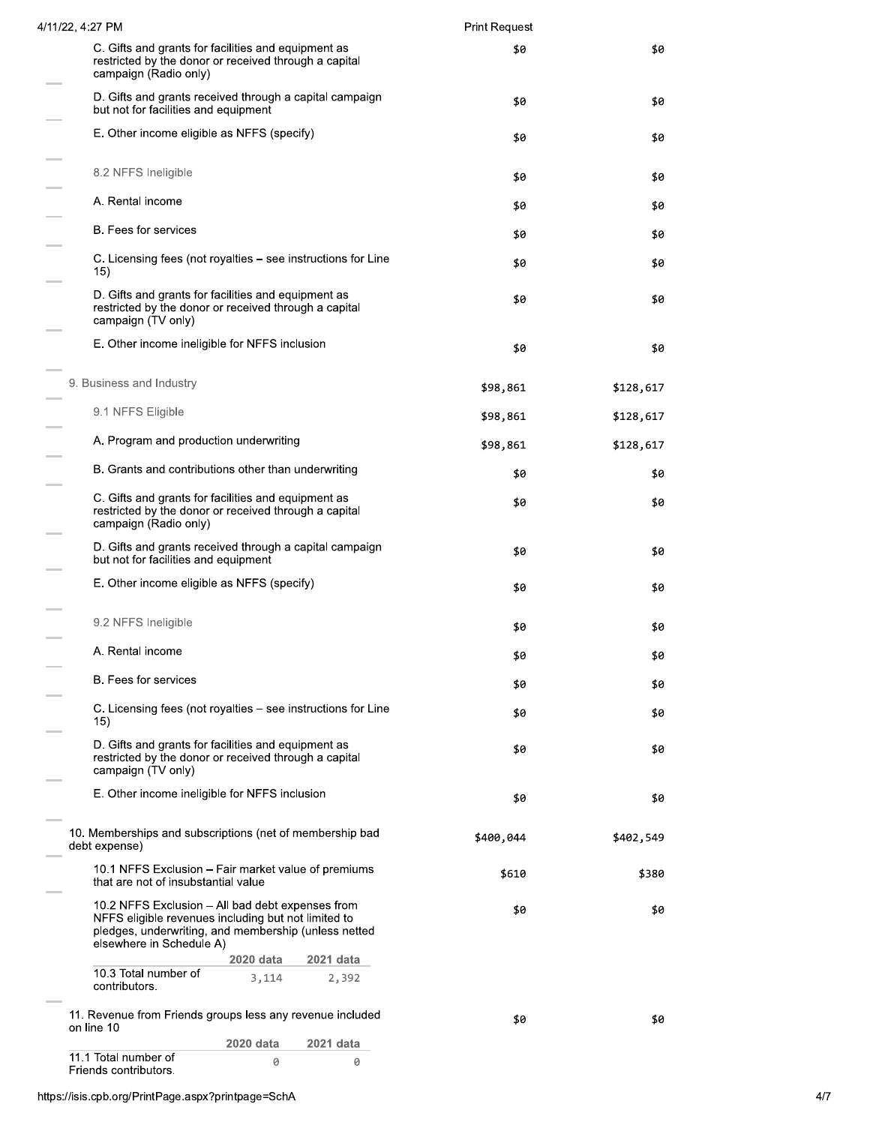| 4/11/22, 4:27 PM                              |                                                                                                                                                                                             |                    | <b>Print Request</b> |           |
|-----------------------------------------------|---------------------------------------------------------------------------------------------------------------------------------------------------------------------------------------------|--------------------|----------------------|-----------|
| campaign (Radio only)                         | C. Gifts and grants for facilities and equipment as<br>restricted by the donor or received through a capital                                                                                |                    | \$0                  | \$0       |
|                                               | D. Gifts and grants received through a capital campaign<br>but not for facilities and equipment                                                                                             |                    | \$0                  | \$0       |
|                                               | E. Other income eligible as NFFS (specify)                                                                                                                                                  |                    | \$0                  | \$0       |
| 8.2 NFFS Ineligible                           |                                                                                                                                                                                             |                    | \$0                  | \$0       |
| A. Rental income                              |                                                                                                                                                                                             |                    | \$0                  | \$0       |
| B. Fees for services                          |                                                                                                                                                                                             |                    | \$0                  | \$0       |
| 15)                                           | C. Licensing fees (not royalties – see instructions for Line                                                                                                                                |                    | \$0                  | \$0       |
| campaign (TV only)                            | D. Gifts and grants for facilities and equipment as<br>restricted by the donor or received through a capital                                                                                |                    | \$0                  | \$0       |
|                                               | E. Other income ineligible for NFFS inclusion                                                                                                                                               |                    | \$0                  | \$0       |
| 9. Business and Industry                      |                                                                                                                                                                                             |                    | \$98,861             | \$128,617 |
| 9.1 NFFS Eligible                             |                                                                                                                                                                                             |                    | \$98,861             | \$128,617 |
|                                               | A. Program and production underwriting                                                                                                                                                      |                    | \$98,861             | \$128,617 |
|                                               | B. Grants and contributions other than underwriting                                                                                                                                         |                    | \$0                  | \$0       |
| campaign (Radio only)                         | C. Gifts and grants for facilities and equipment as<br>restricted by the donor or received through a capital                                                                                |                    | \$0                  | \$0       |
|                                               | D. Gifts and grants received through a capital campaign<br>but not for facilities and equipment                                                                                             |                    | \$0                  | \$0       |
|                                               | E. Other income eligible as NFFS (specify)                                                                                                                                                  |                    | \$0                  | \$0       |
| 9.2 NFFS Ineligible                           |                                                                                                                                                                                             |                    | \$0                  | \$0       |
| A. Rental income                              |                                                                                                                                                                                             |                    | \$0                  | \$0       |
| B. Fees for services                          |                                                                                                                                                                                             |                    | \$0                  | \$0       |
|                                               | C. Licensing fees (not royalties – see instructions for Line                                                                                                                                |                    | \$0                  | \$0       |
| 15)                                           | D. Gifts and grants for facilities and equipment as<br>restricted by the donor or received through a capital                                                                                |                    | \$0                  | \$0       |
| campaign (TV only)                            |                                                                                                                                                                                             |                    |                      |           |
|                                               | E. Other income ineligible for NFFS inclusion                                                                                                                                               |                    | \$0                  | \$0       |
| debt expense)                                 | 10. Memberships and subscriptions (net of membership bad                                                                                                                                    |                    | \$400,044            | \$402,549 |
|                                               | 10.1 NFFS Exclusion – Fair market value of premiums<br>that are not of insubstantial value                                                                                                  |                    | \$610                | \$380     |
|                                               | 10.2 NFFS Exclusion – All bad debt expenses from<br>NFFS eligible revenues including but not limited to<br>pledges, underwriting, and membership (unless netted<br>elsewhere in Schedule A) |                    | \$0                  | \$0       |
| 10.3 Total number of<br>contributors.         | 2020 data<br>3,114                                                                                                                                                                          | 2021 data<br>2,392 |                      |           |
| on line 10                                    | 11. Revenue from Friends groups less any revenue included                                                                                                                                   |                    | \$0                  | \$0       |
|                                               | 2020 data                                                                                                                                                                                   | 2021 data          |                      |           |
| 11.1 Total number of<br>Friends contributors. | 0                                                                                                                                                                                           | 0                  |                      |           |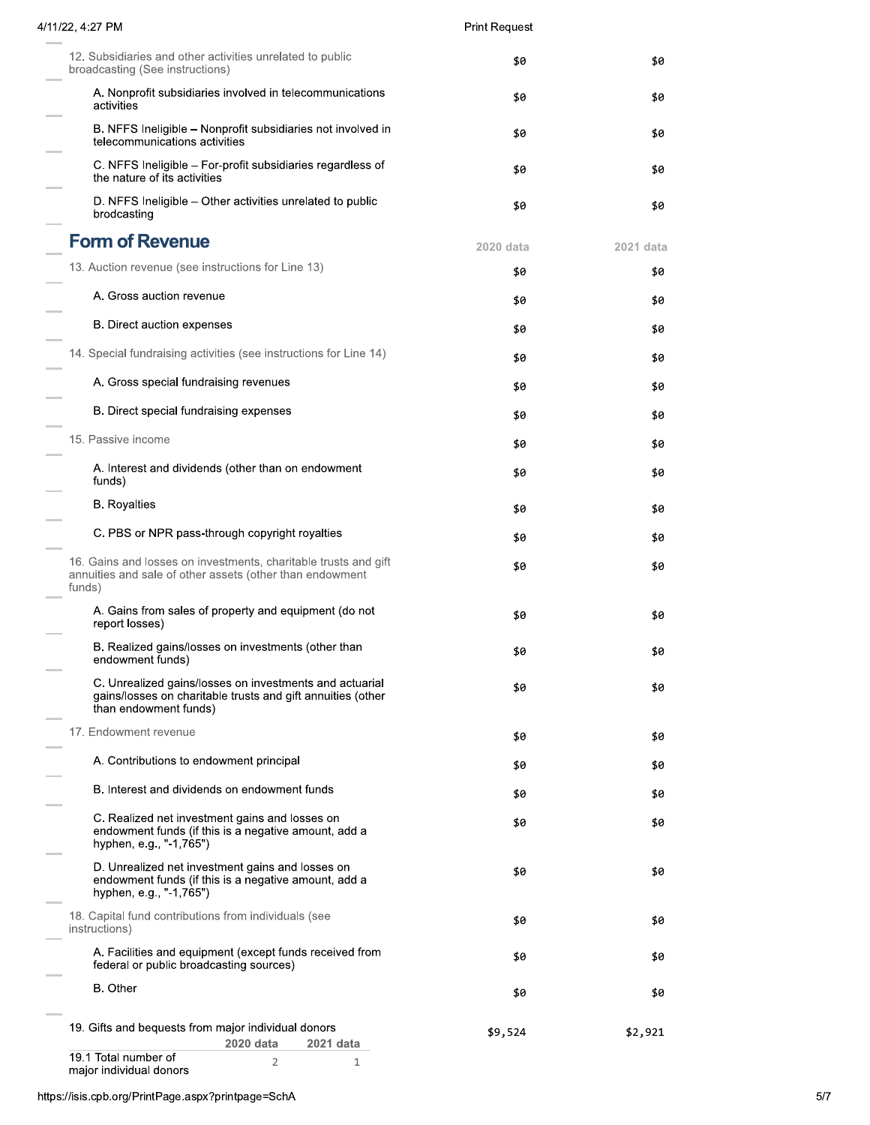| 4/11/22, 4:27 PM                                                                                                                                | <b>Print Request</b> |           |
|-------------------------------------------------------------------------------------------------------------------------------------------------|----------------------|-----------|
| 12. Subsidiaries and other activities unrelated to public<br>broadcasting (See instructions)                                                    | \$0                  | \$0       |
| A. Nonprofit subsidiaries involved in telecommunications<br>activities                                                                          | \$0                  | \$0       |
| B. NFFS Ineligible – Nonprofit subsidiaries not involved in<br>telecommunications activities                                                    | \$0                  | \$0       |
| C. NFFS Ineligible - For-profit subsidiaries regardless of<br>the nature of its activities                                                      | \$0                  | \$0       |
| D. NFFS Ineligible - Other activities unrelated to public<br>brodcasting                                                                        | \$0                  | \$0       |
| <b>Form of Revenue</b>                                                                                                                          | 2020 data            | 2021 data |
| 13. Auction revenue (see instructions for Line 13)                                                                                              | \$0                  | \$0       |
| A. Gross auction revenue                                                                                                                        | \$0                  | \$0       |
| B. Direct auction expenses                                                                                                                      | \$0                  | \$0       |
| 14. Special fundraising activities (see instructions for Line 14)                                                                               |                      |           |
| A. Gross special fundraising revenues                                                                                                           | \$0                  | \$0       |
|                                                                                                                                                 | \$0                  | \$0       |
| B. Direct special fundraising expenses                                                                                                          | \$0                  | \$0       |
| 15. Passive income                                                                                                                              | \$0                  | \$0       |
| A. Interest and dividends (other than on endowment<br>funds)                                                                                    | \$0                  | \$0       |
| <b>B.</b> Royalties                                                                                                                             | \$0                  | \$0       |
| C. PBS or NPR pass-through copyright royalties                                                                                                  | \$0                  | \$0       |
| 16. Gains and losses on investments, charitable trusts and gift<br>annuities and sale of other assets (other than endowment<br>funds)           | \$0                  | \$0       |
| A. Gains from sales of property and equipment (do not<br>report losses)                                                                         | \$0                  | \$0       |
| B. Realized gains/losses on investments (other than<br>endowment funds)                                                                         | \$0                  | \$0       |
| C. Unrealized gains/losses on investments and actuarial<br>gains/losses on charitable trusts and gift annuities (other<br>than endowment funds) | \$0                  | \$0       |
| 17. Endowment revenue                                                                                                                           | \$0                  | \$0       |
| A. Contributions to endowment principal                                                                                                         | \$0                  | \$0       |
| B. Interest and dividends on endowment funds                                                                                                    | \$0                  | \$0       |
| C. Realized net investment gains and losses on<br>endowment funds (if this is a negative amount, add a<br>hyphen, e.g., "-1,765")               | \$0                  | \$0       |
| D. Unrealized net investment gains and losses on<br>endowment funds (if this is a negative amount, add a<br>hyphen, e.g., "-1,765")             | \$0                  | \$0       |
| 18. Capital fund contributions from individuals (see<br>instructions)                                                                           | \$0                  | \$0       |
| A. Facilities and equipment (except funds received from<br>federal or public broadcasting sources)                                              | \$0                  | \$0       |
| B. Other                                                                                                                                        | \$0                  | \$0       |
| 19. Gifts and bequests from major individual donors<br>2020 data<br>2021 data                                                                   | \$9,524              | \$2,921   |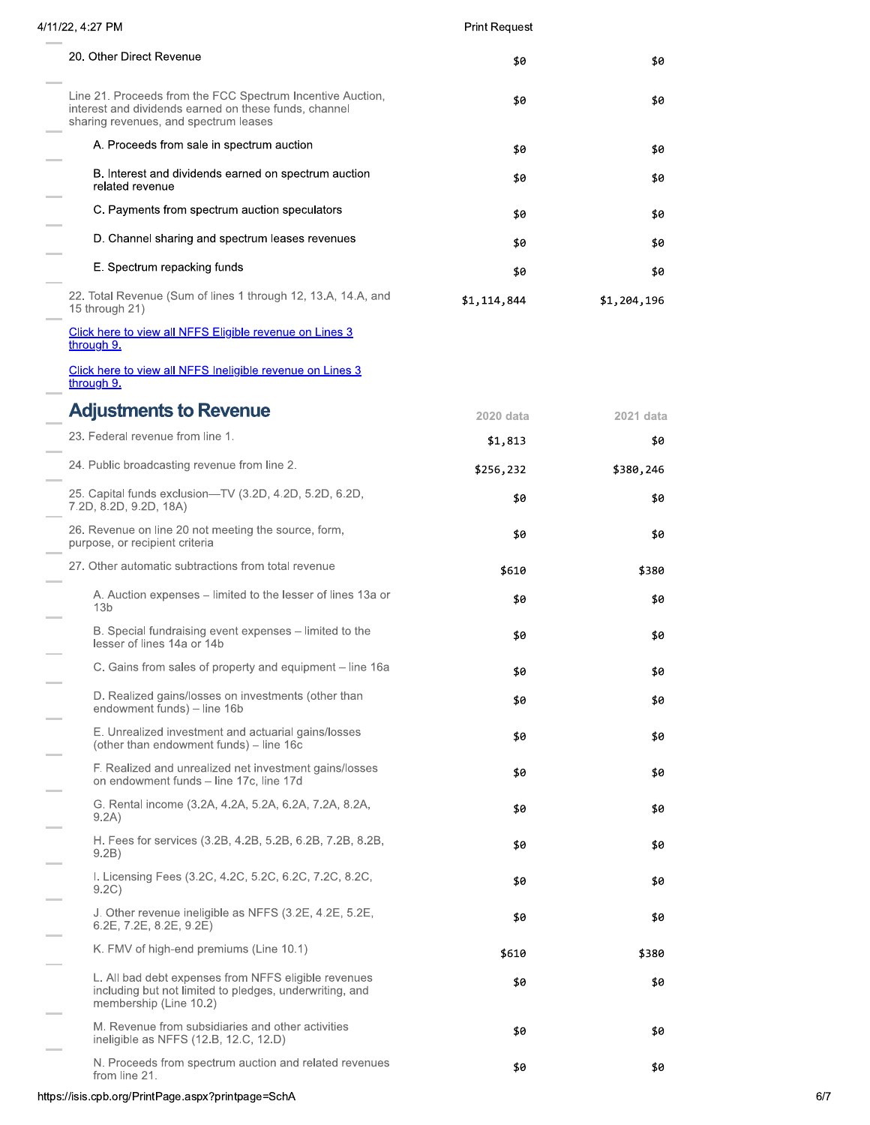| 4/11/22, 4:27 PM                                                                                                                                             | <b>Print Request</b> |             |
|--------------------------------------------------------------------------------------------------------------------------------------------------------------|----------------------|-------------|
| 20. Other Direct Revenue                                                                                                                                     | \$0                  | \$0         |
| Line 21. Proceeds from the FCC Spectrum Incentive Auction,<br>interest and dividends earned on these funds, channel<br>sharing revenues, and spectrum leases | \$0                  | \$0         |
| A. Proceeds from sale in spectrum auction                                                                                                                    | \$0                  | \$0         |
| B. Interest and dividends earned on spectrum auction<br>related revenue                                                                                      | \$0                  | \$0         |
| C. Payments from spectrum auction speculators                                                                                                                | \$0                  | \$0         |
| D. Channel sharing and spectrum leases revenues                                                                                                              | \$0                  | \$0         |
| E. Spectrum repacking funds                                                                                                                                  | \$0                  | \$0         |
| 22. Total Revenue (Sum of lines 1 through 12, 13.A, 14.A, and<br>15 through 21)                                                                              | \$1,114,844          | \$1,204,196 |
| Click here to view all NFFS Eligible revenue on Lines 3<br>through 9.                                                                                        |                      |             |
| Click here to view all NFFS Ineligible revenue on Lines 3<br>through 9.                                                                                      |                      |             |
| <b>Adjustments to Revenue</b>                                                                                                                                | 2020 data            | 2021 data   |
| 23. Federal revenue from line 1.                                                                                                                             | \$1,813              | \$0         |
| 24. Public broadcasting revenue from line 2.                                                                                                                 | \$256,232            | \$380,246   |
| 25. Capital funds exclusion-TV (3.2D, 4.2D, 5.2D, 6.2D,<br>7.2D, 8.2D, 9.2D, 18A)                                                                            | \$0                  | \$0         |
| 26. Revenue on line 20 not meeting the source, form,<br>purpose, or recipient criteria                                                                       | \$0                  | \$0         |
| 27. Other automatic subtractions from total revenue                                                                                                          | \$610                | \$380       |
| A. Auction expenses – limited to the lesser of lines 13a or<br>13 <sub>b</sub>                                                                               | \$0                  | \$0         |
| B. Special fundraising event expenses - limited to the<br>lesser of lines 14a or 14b                                                                         | \$0                  | \$0         |
| C. Gains from sales of property and equipment – line 16a                                                                                                     | \$0                  | \$0         |
| D. Realized gains/losses on investments (other than<br>endowment funds) - line 16b                                                                           | \$0                  | \$0         |
| E. Unrealized investment and actuarial gains/losses<br>(other than endowment funds) - line 16c                                                               | \$0                  | \$0         |
| F. Realized and unrealized net investment gains/losses<br>on endowment funds - line 17c, line 17d                                                            | \$0                  | \$0         |
| G. Rental income (3.2A, 4.2A, 5.2A, 6.2A, 7.2A, 8.2A,<br>9.2A)                                                                                               | \$0                  | \$0         |
| H. Fees for services (3.2B, 4.2B, 5.2B, 6.2B, 7.2B, 8.2B,<br>9.2B)                                                                                           | \$0                  | \$0         |
| I. Licensing Fees (3.2C, 4.2C, 5.2C, 6.2C, 7.2C, 8.2C,<br>9.2C)                                                                                              | \$0                  | \$0         |
| J. Other revenue ineligible as NFFS (3.2E, 4.2E, 5.2E,<br>6.2E, 7.2E, 8.2E, 9.2E)                                                                            | \$0                  | \$0         |
| K. FMV of high-end premiums (Line 10.1)                                                                                                                      | \$610                | \$380       |
| L. All bad debt expenses from NFFS eligible revenues<br>including but not limited to pledges, underwriting, and<br>membership (Line 10.2)                    | \$0                  | \$0         |
| M. Revenue from subsidiaries and other activities<br>ineligible as NFFS (12.B, 12.C, 12.D)                                                                   | \$0                  | \$0         |
| N. Proceeds from spectrum auction and related revenues<br>from line 21.                                                                                      | \$0                  | \$0         |